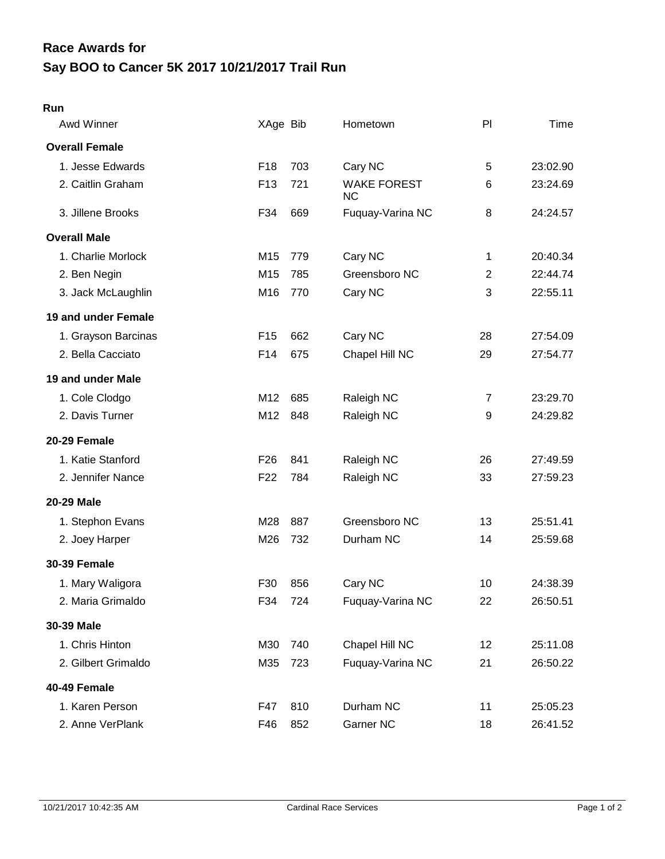## **Say BOO to Cancer 5K 2017 10/21/2017 Trail Run Race Awards for**

| $-$ |
|-----|
|     |

| Awd Winner            | XAge Bib        |     | Hometown                        | PI             | Time     |
|-----------------------|-----------------|-----|---------------------------------|----------------|----------|
| <b>Overall Female</b> |                 |     |                                 |                |          |
| 1. Jesse Edwards      | F <sub>18</sub> | 703 | Cary NC                         | 5              | 23:02.90 |
| 2. Caitlin Graham     | F <sub>13</sub> | 721 | <b>WAKE FOREST</b><br><b>NC</b> | 6              | 23:24.69 |
| 3. Jillene Brooks     | F34             | 669 | Fuquay-Varina NC                | 8              | 24:24.57 |
| <b>Overall Male</b>   |                 |     |                                 |                |          |
| 1. Charlie Morlock    | M15             | 779 | Cary NC                         | 1              | 20:40.34 |
| 2. Ben Negin          | M15             | 785 | Greensboro NC                   | $\overline{c}$ | 22:44.74 |
| 3. Jack McLaughlin    | M16             | 770 | Cary NC                         | 3              | 22:55.11 |
| 19 and under Female   |                 |     |                                 |                |          |
| 1. Grayson Barcinas   | F <sub>15</sub> | 662 | Cary NC                         | 28             | 27:54.09 |
| 2. Bella Cacciato     | F14             | 675 | Chapel Hill NC                  | 29             | 27:54.77 |
| 19 and under Male     |                 |     |                                 |                |          |
| 1. Cole Clodgo        | M12             | 685 | Raleigh NC                      | $\overline{7}$ | 23:29.70 |
| 2. Davis Turner       | M12             | 848 | Raleigh NC                      | 9              | 24:29.82 |
| 20-29 Female          |                 |     |                                 |                |          |
| 1. Katie Stanford     | F <sub>26</sub> | 841 | Raleigh NC                      | 26             | 27:49.59 |
| 2. Jennifer Nance     | F <sub>22</sub> | 784 | Raleigh NC                      | 33             | 27:59.23 |
| 20-29 Male            |                 |     |                                 |                |          |
| 1. Stephon Evans      | M28             | 887 | Greensboro NC                   | 13             | 25:51.41 |
| 2. Joey Harper        | M26             | 732 | Durham NC                       | 14             | 25:59.68 |
| <b>30-39 Female</b>   |                 |     |                                 |                |          |
| 1. Mary Waligora      | F30             | 856 | Cary NC                         | 10             | 24:38.39 |
| 2. Maria Grimaldo     | F34             | 724 | Fuquay-Varina NC                | 22             | 26:50.51 |
| 30-39 Male            |                 |     |                                 |                |          |
| 1. Chris Hinton       | M30             | 740 | Chapel Hill NC                  | 12             | 25:11.08 |
| 2. Gilbert Grimaldo   | M35             | 723 | Fuquay-Varina NC                | 21             | 26:50.22 |
| 40-49 Female          |                 |     |                                 |                |          |
| 1. Karen Person       | F47             | 810 | Durham NC                       | 11             | 25:05.23 |
| 2. Anne VerPlank      | F46             | 852 | Garner NC                       | 18             | 26:41.52 |